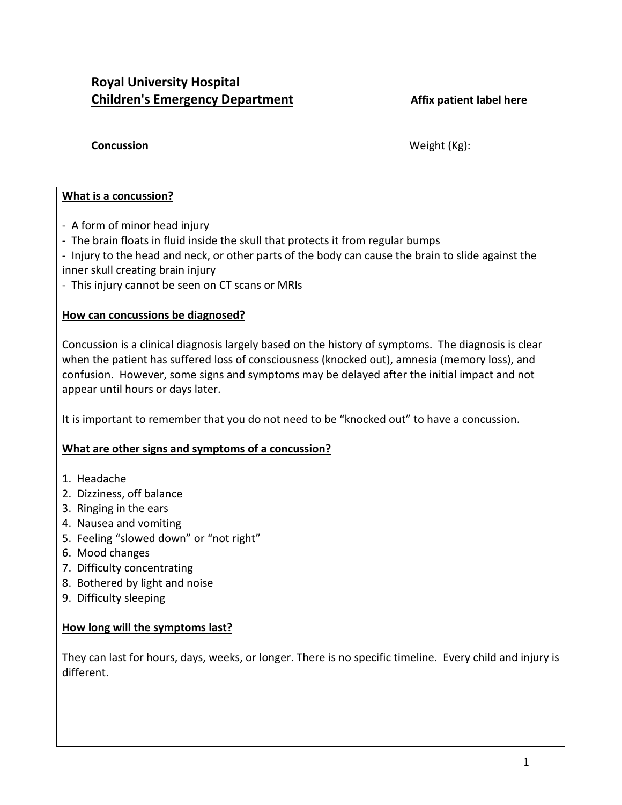# **Royal University Hospital Children's Emergency Department Affix patient label here**

**Concussion** Weight (Kg):

## **What is a concussion?**

- A form of minor head injury
- The brain floats in fluid inside the skull that protects it from regular bumps
- Injury to the head and neck, or other parts of the body can cause the brain to slide against the inner skull creating brain injury
- This injury cannot be seen on CT scans or MRIs

## **How can concussions be diagnosed?**

Concussion is a clinical diagnosis largely based on the history of symptoms. The diagnosis is clear when the patient has suffered loss of consciousness (knocked out), amnesia (memory loss), and confusion. However, some signs and symptoms may be delayed after the initial impact and not appear until hours or days later.

It is important to remember that you do not need to be "knocked out" to have a concussion.

## **What are other signs and symptoms of a concussion?**

- 1. Headache
- 2. Dizziness, off balance
- 3. Ringing in the ears
- 4. Nausea and vomiting
- 5. Feeling "slowed down" or "not right"
- 6. Mood changes
- 7. Difficulty concentrating
- 8. Bothered by light and noise
- 9. Difficulty sleeping

## **How long will the symptoms last?**

They can last for hours, days, weeks, or longer. There is no specific timeline. Every child and injury is different.